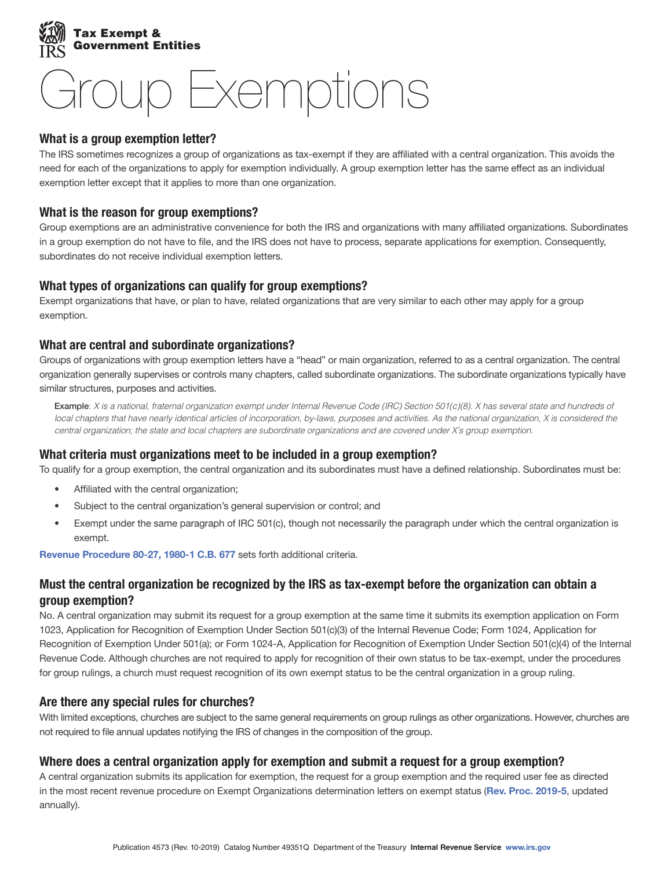

# Group Exemptions

## What is a group exemption letter?

The IRS sometimes recognizes a group of organizations as tax-exempt if they are affiliated with a central organization. This avoids the need for each of the organizations to apply for exemption individually. A group exemption letter has the same effect as an individual exemption letter except that it applies to more than one organization.

## What is the reason for group exemptions?

Group exemptions are an administrative convenience for both the IRS and organizations with many affiliated organizations. Subordinates in a group exemption do not have to file, and the IRS does not have to process, separate applications for exemption. Consequently, subordinates do not receive individual exemption letters.

## What types of organizations can qualify for group exemptions?

Exempt organizations that have, or plan to have, related organizations that are very similar to each other may apply for a group exemption.

## What are central and subordinate organizations?

Groups of organizations with group exemption letters have a "head" or main organization, referred to as a central organization. The central organization generally supervises or controls many chapters, called subordinate organizations. The subordinate organizations typically have similar structures, purposes and activities.

Example: *X is a national, fraternal organization exempt under Internal Revenue Code (IRC) Section 501(c)(8). X has several state and hundreds of local chapters that have nearly identical articles of incorporation, by-laws, purposes and activities. As the national organization, X is considered the central organization; the state and local chapters are subordinate organizations and are covered under X's group exemption.* 

## What criteria must organizations meet to be included in a group exemption?

To qualify for a group exemption, the central organization and its subordinates must have a defined relationship. Subordinates must be:

- Affiliated with the central organization;
- Subject to the central organization's general supervision or control; and
- Exempt under the same paragraph of IRC 501(c), though not necessarily the paragraph under which the central organization is exempt.

[Revenue Procedure 80-27, 1980-1 C.B. 677](http://www.irs.gov/pub/irs-tege/rp1980-27.pdf) sets forth additional criteria.

## Must the central organization be recognized by the IRS as tax-exempt before the organization can obtain a group exemption?

No. A central organization may submit its request for a group exemption at the same time it submits its exemption application on Form 1023, Application for Recognition of Exemption Under Section 501(c)(3) of the Internal Revenue Code; Form 1024, Application for Recognition of Exemption Under 501(a); or Form 1024-A, Application for Recognition of Exemption Under Section 501(c)(4) of the Internal Revenue Code. Although churches are not required to apply for recognition of their own status to be tax-exempt, under the procedures for group rulings, a church must request recognition of its own exempt status to be the central organization in a group ruling.

## Are there any special rules for churches?

With limited exceptions, churches are subject to the same general requirements on group rulings as other organizations. However, churches are not required to file annual updates notifying the IRS of changes in the composition of the group.

## Where does a central organization apply for exemption and submit a request for a group exemption?

A central organization submits its application for exemption, the request for a group exemption and the required user fee as directed in the most recent revenue procedure on Exempt Organizations determination letters on exempt status ([Rev. Proc. 2019-5](https://www.irs.gov/irb/2019-01_IRB#RP-2019-05), updated annually).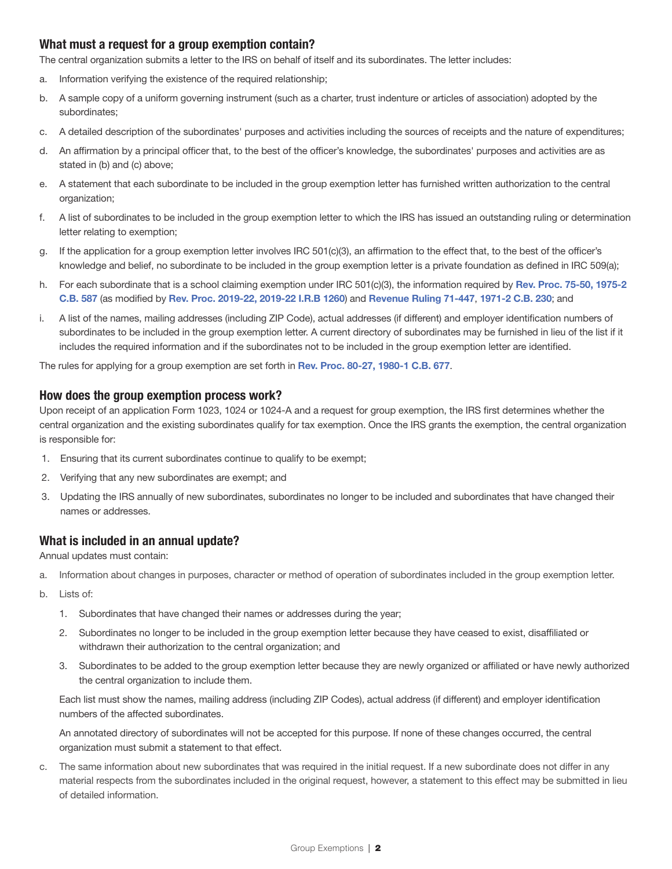## What must a request for a group exemption contain?

The central organization submits a letter to the IRS on behalf of itself and its subordinates. The letter includes:

- a. Information verifying the existence of the required relationship;
- b. A sample copy of a uniform governing instrument (such as a charter, trust indenture or articles of association) adopted by the subordinates;
- c. A detailed description of the subordinates' purposes and activities including the sources of receipts and the nature of expenditures;
- d. An affirmation by a principal officer that, to the best of the officer's knowledge, the subordinates' purposes and activities are as stated in (b) and (c) above;
- e. A statement that each subordinate to be included in the group exemption letter has furnished written authorization to the central organization;
- f. A list of subordinates to be included in the group exemption letter to which the IRS has issued an outstanding ruling or determination letter relating to exemption;
- g. If the application for a group exemption letter involves IRC 501(c)(3), an affirmation to the effect that, to the best of the officer's knowledge and belief, no subordinate to be included in the group exemption letter is a private foundation as defined in IRC 509(a);
- C.B. 587 (as modified by [Rev. Proc. 2019-22, 2019-22 I.R.B 1260](https://www.irs.gov/irb/2019-22_IRB#REV-PROC-2019-22)) and [Revenue Ruling 71-447](http://www.irs.gov/pub/irs-tege/rr71-447.pdf), 1971-2 C.B. 230; and h. For each subordinate that is a school claiming exemption under IRC 501(c)(3), the information required by Rev. Proc. 75-50, 1975-2
- i. A list of the names, mailing addresses (including ZIP Code), actual addresses (if different) and employer identification numbers of subordinates to be included in the group exemption letter. A current directory of subordinates may be furnished in lieu of the list if it includes the required information and if the subordinates not to be included in the group exemption letter are identified.

The rules for applying for a group exemption are set forth in [Rev. Proc. 80-27, 1980-1 C.B. 677](http://www.irs.gov/pub/irs-tege/rp1980-27.pdf).

#### How does the group exemption process work?

Upon receipt of an application Form 1023, 1024 or 1024-A and a request for group exemption, the IRS first determines whether the central organization and the existing subordinates qualify for tax exemption. Once the IRS grants the exemption, the central organization is responsible for:

- 1. Ensuring that its current subordinates continue to qualify to be exempt;
- 2. Verifying that any new subordinates are exempt; and
- 3. Updating the IRS annually of new subordinates, subordinates no longer to be included and subordinates that have changed their names or addresses.

## What is included in an annual update?

Annual updates must contain:

- a. Information about changes in purposes, character or method of operation of subordinates included in the group exemption letter.
- b. Lists of:
	- 1. Subordinates that have changed their names or addresses during the year;
	- 2. Subordinates no longer to be included in the group exemption letter because they have ceased to exist, disaffiliated or withdrawn their authorization to the central organization; and
	- 3. Subordinates to be added to the group exemption letter because they are newly organized or affiliated or have newly authorized the central organization to include them.

Each list must show the names, mailing address (including ZIP Codes), actual address (if different) and employer identification numbers of the affected subordinates.

An annotated directory of subordinates will not be accepted for this purpose. If none of these changes occurred, the central organization must submit a statement to that effect.

c. The same information about new subordinates that was required in the initial request. If a new subordinate does not differ in any material respects from the subordinates included in the original request, however, a statement to this effect may be submitted in lieu of detailed information.